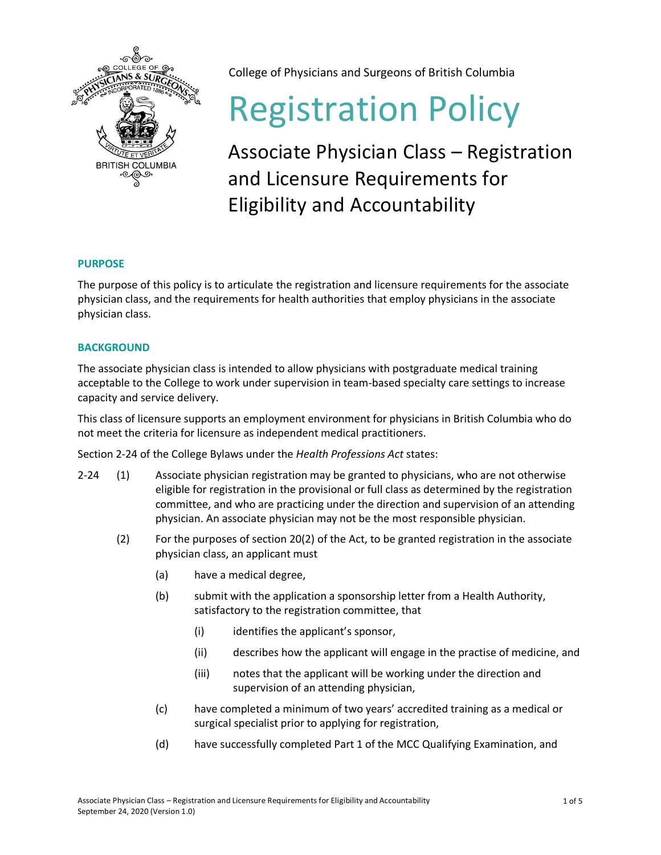

College of Physicians and Surgeons of British Columbia

# Registration Policy

Associate Physician Class – Registration and Licensure Requirements for Eligibility and Accountability

## **PURPOSE**

The purpose of this policy is to articulate the registration and licensure requirements for the associate physician class, and the requirements for health authorities that employ physicians in the associate physician class.

## **BACKGROUND**

The associate physician class is intended to allow physicians with postgraduate medical training acceptable to the College to work under supervision in team-based specialty care settings to increase capacity and service delivery.

This class of licensure supports an employment environment for physicians in British Columbia who do not meet the criteria for licensure as independent medical practitioners.

Section 2-24 of the College Bylaws under the *Health Professions Act* states:

- 2-24 (1) Associate physician registration may be granted to physicians, who are not otherwise eligible for registration in the provisional or full class as determined by the registration committee, and who are practicing under the direction and supervision of an attending physician. An associate physician may not be the most responsible physician.
	- (2) For the purposes of section 20(2) of the Act, to be granted registration in the associate physician class, an applicant must
		- (a) have a medical degree,
		- (b) submit with the application a sponsorship letter from a Health Authority, satisfactory to the registration committee, that
			- (i) identifies the applicant's sponsor,
			- (ii) describes how the applicant will engage in the practise of medicine, and
			- (iii) notes that the applicant will be working under the direction and supervision of an attending physician,
		- (c) have completed a minimum of two years' accredited training as a medical or surgical specialist prior to applying for registration,
		- (d) have successfully completed Part 1 of the MCC Qualifying Examination, and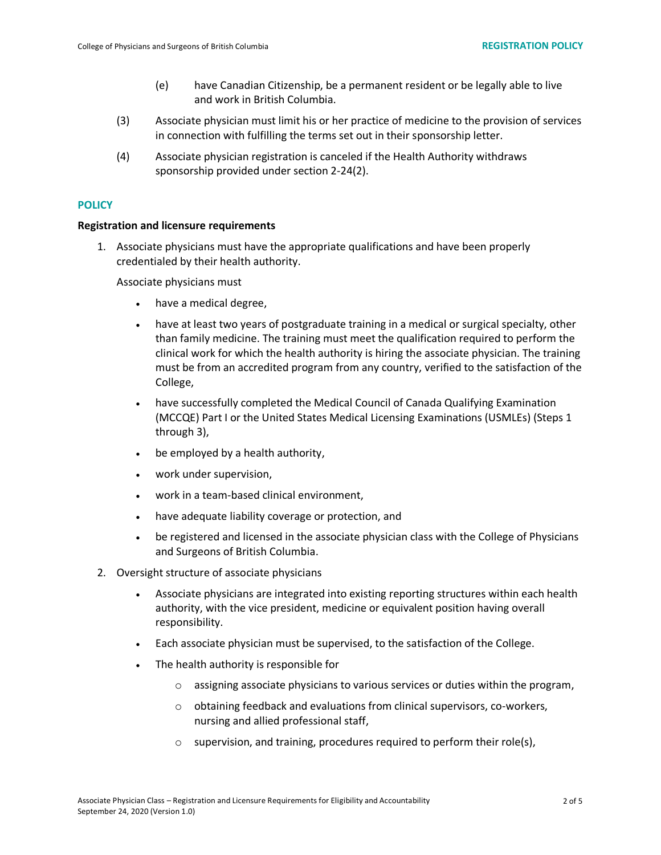- (e) have Canadian Citizenship, be a permanent resident or be legally able to live and work in British Columbia.
- (3) Associate physician must limit his or her practice of medicine to the provision of services in connection with fulfilling the terms set out in their sponsorship letter.
- (4) Associate physician registration is canceled if the Health Authority withdraws sponsorship provided under section 2-24(2).

#### **POLICY**

#### **Registration and licensure requirements**

1. Associate physicians must have the appropriate qualifications and have been properly credentialed by their health authority.

Associate physicians must

- have a medical degree,
- have at least two years of postgraduate training in a medical or surgical specialty, other than family medicine. The training must meet the qualification required to perform the clinical work for which the health authority is hiring the associate physician. The training must be from an accredited program from any country, verified to the satisfaction of the College,
- have successfully completed the Medical Council of Canada Qualifying Examination (MCCQE) Part I or the United States Medical Licensing Examinations (USMLEs) (Steps 1 through 3),
- be employed by a health authority,
- work under supervision,
- work in a team-based clinical environment,
- have adequate liability coverage or protection, and
- be registered and licensed in the associate physician class with the College of Physicians and Surgeons of British Columbia.
- 2. Oversight structure of associate physicians
	- Associate physicians are integrated into existing reporting structures within each health authority, with the vice president, medicine or equivalent position having overall responsibility.
	- Each associate physician must be supervised, to the satisfaction of the College.
	- The health authority is responsible for
		- $\circ$  assigning associate physicians to various services or duties within the program,
		- o obtaining feedback and evaluations from clinical supervisors, co-workers, nursing and allied professional staff,
		- o supervision, and training, procedures required to perform their role(s),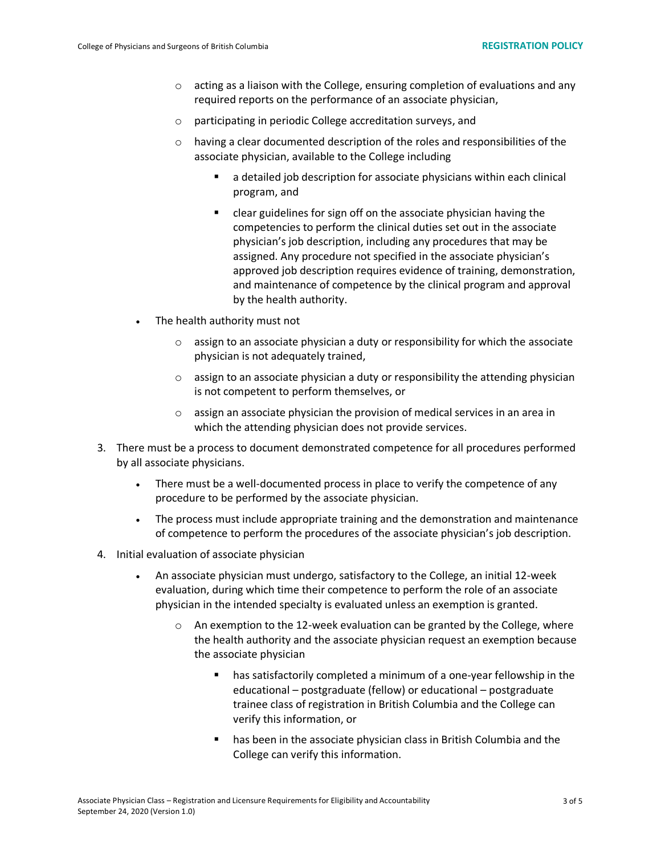- $\circ$  acting as a liaison with the College, ensuring completion of evaluations and any required reports on the performance of an associate physician,
- o participating in periodic College accreditation surveys, and
- $\circ$  having a clear documented description of the roles and responsibilities of the associate physician, available to the College including
	- a detailed job description for associate physicians within each clinical program, and
	- clear guidelines for sign off on the associate physician having the competencies to perform the clinical duties set out in the associate physician's job description, including any procedures that may be assigned. Any procedure not specified in the associate physician's approved job description requires evidence of training, demonstration, and maintenance of competence by the clinical program and approval by the health authority.
- The health authority must not
	- $\circ$  assign to an associate physician a duty or responsibility for which the associate physician is not adequately trained,
	- $\circ$  assign to an associate physician a duty or responsibility the attending physician is not competent to perform themselves, or
	- $\circ$  assign an associate physician the provision of medical services in an area in which the attending physician does not provide services.
- 3. There must be a process to document demonstrated competence for all procedures performed by all associate physicians.
	- There must be a well-documented process in place to verify the competence of any procedure to be performed by the associate physician.
	- The process must include appropriate training and the demonstration and maintenance of competence to perform the procedures of the associate physician's job description.
- 4. Initial evaluation of associate physician
	- An associate physician must undergo, satisfactory to the College, an initial 12-week evaluation, during which time their competence to perform the role of an associate physician in the intended specialty is evaluated unless an exemption is granted.
		- $\circ$  An exemption to the 12-week evaluation can be granted by the College, where the health authority and the associate physician request an exemption because the associate physician
			- has satisfactorily completed a minimum of a one-year fellowship in the educational – postgraduate (fellow) or educational – postgraduate trainee class of registration in British Columbia and the College can verify this information, or
			- has been in the associate physician class in British Columbia and the College can verify this information.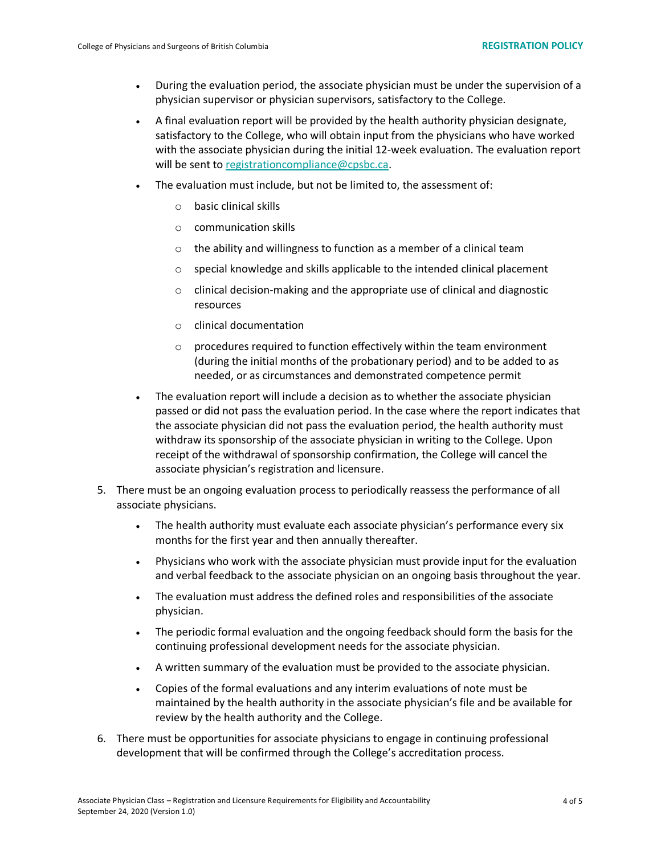- During the evaluation period, the associate physician must be under the supervision of a physician supervisor or physician supervisors, satisfactory to the College.
- A final evaluation report will be provided by the health authority physician designate, satisfactory to the College, who will obtain input from the physicians who have worked with the associate physician during the initial 12-week evaluation. The evaluation report will be sent to [registrationcompliance@cpsbc.ca.](mailto:registrationcompliance@cpsbc.ca)
- The evaluation must include, but not be limited to, the assessment of:
	- o basic clinical skills
	- o communication skills
	- o the ability and willingness to function as a member of a clinical team
	- o special knowledge and skills applicable to the intended clinical placement
	- o clinical decision-making and the appropriate use of clinical and diagnostic resources
	- o clinical documentation
	- $\circ$  procedures required to function effectively within the team environment (during the initial months of the probationary period) and to be added to as needed, or as circumstances and demonstrated competence permit
- The evaluation report will include a decision as to whether the associate physician passed or did not pass the evaluation period. In the case where the report indicates that the associate physician did not pass the evaluation period, the health authority must withdraw its sponsorship of the associate physician in writing to the College. Upon receipt of the withdrawal of sponsorship confirmation, the College will cancel the associate physician's registration and licensure.
- 5. There must be an ongoing evaluation process to periodically reassess the performance of all associate physicians.
	- The health authority must evaluate each associate physician's performance every six months for the first year and then annually thereafter.
	- Physicians who work with the associate physician must provide input for the evaluation and verbal feedback to the associate physician on an ongoing basis throughout the year.
	- The evaluation must address the defined roles and responsibilities of the associate physician.
	- The periodic formal evaluation and the ongoing feedback should form the basis for the continuing professional development needs for the associate physician.
	- A written summary of the evaluation must be provided to the associate physician.
	- Copies of the formal evaluations and any interim evaluations of note must be maintained by the health authority in the associate physician's file and be available for review by the health authority and the College.
- 6. There must be opportunities for associate physicians to engage in continuing professional development that will be confirmed through the College's accreditation process.